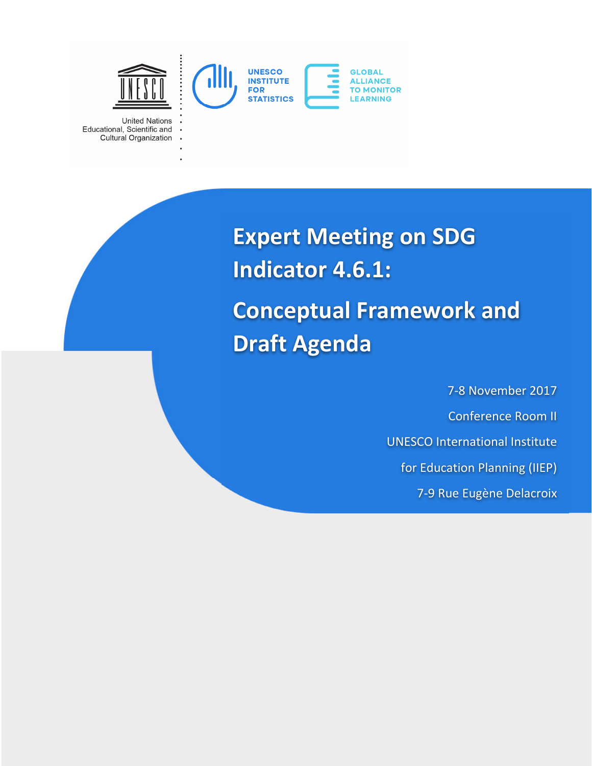

**United Nations** Educational, Scientific and Cultural Organization

> **Expert Meeting on SDG Indicator 4.6.1: Conceptual Framework and Draft Agenda**

> > 7-8 November 2017 Conference Room II UNESCO International Institute for Education Planning (IIEP) 7-9 Rue Eugène Delacroix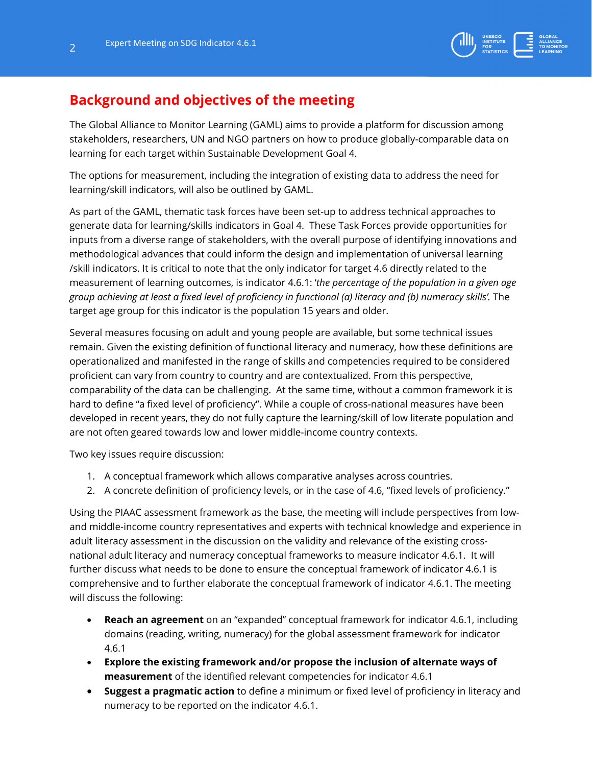

## **Background and objectives of the meeting**

The Global Alliance to Monitor Learning (GAML) aims to provide a platform for discussion among stakeholders, researchers, UN and NGO partners on how to produce globally-comparable data on learning for each target within Sustainable Development Goal 4.

The options for measurement, including the integration of existing data to address the need for learning/skill indicators, will also be outlined by GAML.

As part of the GAML, thematic task forces have been set-up to address technical approaches to generate data for learning/skills indicators in Goal 4. These Task Forces provide opportunities for inputs from a diverse range of stakeholders, with the overall purpose of identifying innovations and methodological advances that could inform the design and implementation of universal learning /skill indicators. It is critical to note that the only indicator for target 4.6 directly related to the measurement of learning outcomes, is indicator 4.6.1: '*the percentage of the population in a given age group achieving at least a fixed level of proficiency in functional (a) literacy and (b) numeracy skills'.* The target age group for this indicator is the population 15 years and older.

Several measures focusing on adult and young people are available, but some technical issues remain. Given the existing definition of functional literacy and numeracy, how these definitions are operationalized and manifested in the range of skills and competencies required to be considered proficient can vary from country to country and are contextualized. From this perspective, comparability of the data can be challenging. At the same time, without a common framework it is hard to define "a fixed level of proficiency". While a couple of cross-national measures have been developed in recent years, they do not fully capture the learning/skill of low literate population and are not often geared towards low and lower middle-income country contexts.

Two key issues require discussion:

- 1. A conceptual framework which allows comparative analyses across countries.
- 2. A concrete definition of proficiency levels, or in the case of 4.6, "fixed levels of proficiency."

Using the PIAAC assessment framework as the base, the meeting will include perspectives from lowand middle-income country representatives and experts with technical knowledge and experience in adult literacy assessment in the discussion on the validity and relevance of the existing crossnational adult literacy and numeracy conceptual frameworks to measure indicator 4.6.1. It will further discuss what needs to be done to ensure the conceptual framework of indicator 4.6.1 is comprehensive and to further elaborate the conceptual framework of indicator 4.6.1. The meeting will discuss the following:

- **Reach an agreement** on an "expanded" conceptual framework for indicator 4.6.1, including domains (reading, writing, numeracy) for the global assessment framework for indicator 4.6.1
- **Explore the existing framework and/or propose the inclusion of alternate ways of measurement** of the identified relevant competencies for indicator 4.6.1
- **Suggest a pragmatic action** to define a minimum or fixed level of proficiency in literacy and numeracy to be reported on the indicator 4.6.1.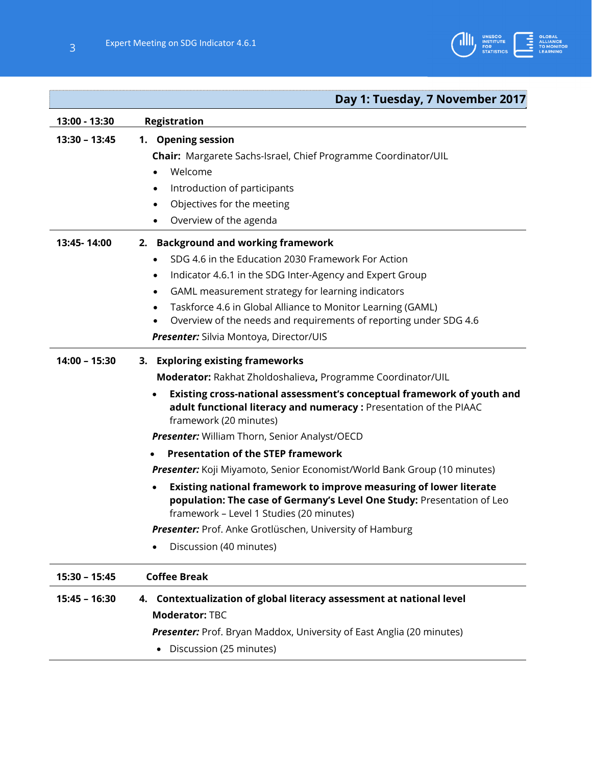

## **Day 1: Tuesday, 7 November 2017**

| 13:00 - 13:30   | <b>Registration</b>                                                                                                                                                                      |  |  |
|-----------------|------------------------------------------------------------------------------------------------------------------------------------------------------------------------------------------|--|--|
| 13:30 - 13:45   | 1. Opening session                                                                                                                                                                       |  |  |
|                 | <b>Chair:</b> Margarete Sachs-Israel, Chief Programme Coordinator/UIL                                                                                                                    |  |  |
|                 | Welcome                                                                                                                                                                                  |  |  |
|                 | Introduction of participants                                                                                                                                                             |  |  |
|                 | Objectives for the meeting                                                                                                                                                               |  |  |
|                 | Overview of the agenda<br>$\bullet$                                                                                                                                                      |  |  |
| 13:45-14:00     | 2. Background and working framework                                                                                                                                                      |  |  |
|                 | SDG 4.6 in the Education 2030 Framework For Action                                                                                                                                       |  |  |
|                 | Indicator 4.6.1 in the SDG Inter-Agency and Expert Group<br>٠                                                                                                                            |  |  |
|                 | GAML measurement strategy for learning indicators<br>٠                                                                                                                                   |  |  |
|                 | Taskforce 4.6 in Global Alliance to Monitor Learning (GAML)<br>٠                                                                                                                         |  |  |
|                 | Overview of the needs and requirements of reporting under SDG 4.6                                                                                                                        |  |  |
|                 | Presenter: Silvia Montoya, Director/UIS                                                                                                                                                  |  |  |
| $14:00 - 15:30$ | 3. Exploring existing frameworks                                                                                                                                                         |  |  |
|                 | Moderator: Rakhat Zholdoshalieva, Programme Coordinator/UIL                                                                                                                              |  |  |
|                 | Existing cross-national assessment's conceptual framework of youth and<br>adult functional literacy and numeracy: Presentation of the PIAAC<br>framework (20 minutes)                    |  |  |
|                 | <b>Presenter:</b> William Thorn, Senior Analyst/OECD                                                                                                                                     |  |  |
|                 | <b>Presentation of the STEP framework</b>                                                                                                                                                |  |  |
|                 | <b>Presenter:</b> Koji Miyamoto, Senior Economist/World Bank Group (10 minutes)                                                                                                          |  |  |
|                 | Existing national framework to improve measuring of lower literate<br>population: The case of Germany's Level One Study: Presentation of Leo<br>framework - Level 1 Studies (20 minutes) |  |  |
|                 | Presenter: Prof. Anke Grotlüschen, University of Hamburg                                                                                                                                 |  |  |
|                 | Discussion (40 minutes)                                                                                                                                                                  |  |  |
| $15:30 - 15:45$ | <b>Coffee Break</b>                                                                                                                                                                      |  |  |
| $15:45 - 16:30$ | 4. Contextualization of global literacy assessment at national level<br><b>Moderator: TBC</b>                                                                                            |  |  |
|                 | <b>Presenter:</b> Prof. Bryan Maddox, University of East Anglia (20 minutes)<br>Discussion (25 minutes)                                                                                  |  |  |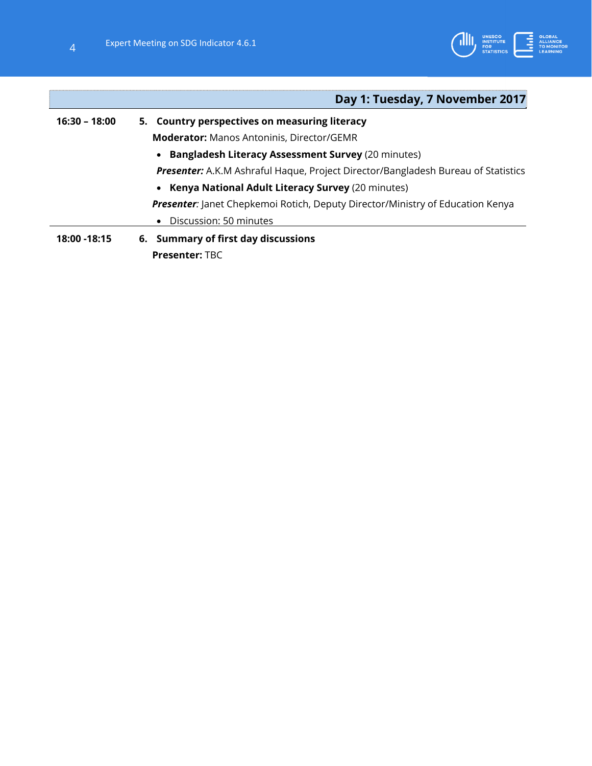

|                                                      | Day 1: Tuesday, 7 November 2017                                                       |  |  |  |
|------------------------------------------------------|---------------------------------------------------------------------------------------|--|--|--|
| $16:30 - 18:00$                                      | 5. Country perspectives on measuring literacy                                         |  |  |  |
|                                                      | <b>Moderator:</b> Manos Antoninis, Director/GEMR                                      |  |  |  |
|                                                      | • Bangladesh Literacy Assessment Survey (20 minutes)                                  |  |  |  |
|                                                      | Presenter: A.K.M Ashraful Haque, Project Director/Bangladesh Bureau of Statistics     |  |  |  |
|                                                      | • Kenya National Adult Literacy Survey (20 minutes)                                   |  |  |  |
|                                                      | <b>Presenter:</b> Janet Chepkemoi Rotich, Deputy Director/Ministry of Education Kenya |  |  |  |
|                                                      | Discussion: 50 minutes<br>$\bullet$                                                   |  |  |  |
| 6. Summary of first day discussions<br>18:00 - 18:15 |                                                                                       |  |  |  |
|                                                      | <b>Presenter: TBC</b>                                                                 |  |  |  |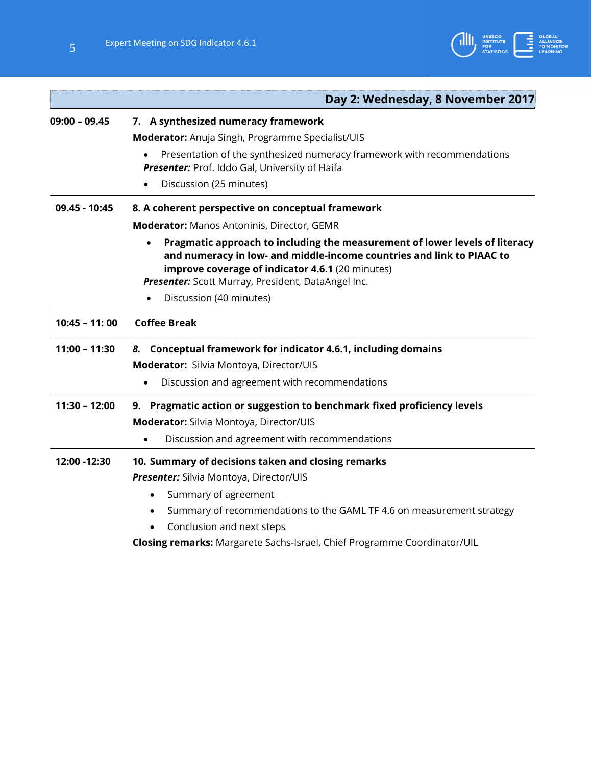

|                 | Day 2: Wednesday, 8 November 2017                                                                                                                                                                                                                                                         |  |  |
|-----------------|-------------------------------------------------------------------------------------------------------------------------------------------------------------------------------------------------------------------------------------------------------------------------------------------|--|--|
| $09:00 - 09.45$ | 7. A synthesized numeracy framework                                                                                                                                                                                                                                                       |  |  |
|                 | Moderator: Anuja Singh, Programme Specialist/UIS                                                                                                                                                                                                                                          |  |  |
|                 | Presentation of the synthesized numeracy framework with recommendations                                                                                                                                                                                                                   |  |  |
|                 | Presenter: Prof. Iddo Gal, University of Haifa                                                                                                                                                                                                                                            |  |  |
|                 | Discussion (25 minutes)                                                                                                                                                                                                                                                                   |  |  |
| 09.45 - 10:45   | 8. A coherent perspective on conceptual framework                                                                                                                                                                                                                                         |  |  |
|                 | <b>Moderator:</b> Manos Antoninis, Director, GEMR                                                                                                                                                                                                                                         |  |  |
|                 | Pragmatic approach to including the measurement of lower levels of literacy<br>and numeracy in low- and middle-income countries and link to PIAAC to<br>improve coverage of indicator 4.6.1 (20 minutes)<br>Presenter: Scott Murray, President, DataAngel Inc.<br>Discussion (40 minutes) |  |  |
| $10:45 - 11:00$ | <b>Coffee Break</b>                                                                                                                                                                                                                                                                       |  |  |
| $11:00 - 11:30$ | 8. Conceptual framework for indicator 4.6.1, including domains                                                                                                                                                                                                                            |  |  |
|                 | Moderator: Silvia Montoya, Director/UIS                                                                                                                                                                                                                                                   |  |  |
|                 | Discussion and agreement with recommendations                                                                                                                                                                                                                                             |  |  |
| $11:30 - 12:00$ | Pragmatic action or suggestion to benchmark fixed proficiency levels<br>9.                                                                                                                                                                                                                |  |  |
|                 | Moderator: Silvia Montoya, Director/UIS                                                                                                                                                                                                                                                   |  |  |
|                 | Discussion and agreement with recommendations                                                                                                                                                                                                                                             |  |  |
| 12:00 - 12:30   | 10. Summary of decisions taken and closing remarks                                                                                                                                                                                                                                        |  |  |
|                 | Presenter: Silvia Montoya, Director/UIS                                                                                                                                                                                                                                                   |  |  |
|                 | Summary of agreement<br>$\bullet$                                                                                                                                                                                                                                                         |  |  |
|                 | Summary of recommendations to the GAML TF 4.6 on measurement strategy<br>$\bullet$                                                                                                                                                                                                        |  |  |
|                 | Conclusion and next steps                                                                                                                                                                                                                                                                 |  |  |
|                 | Closing remarks: Margarete Sachs-Israel, Chief Programme Coordinator/UIL                                                                                                                                                                                                                  |  |  |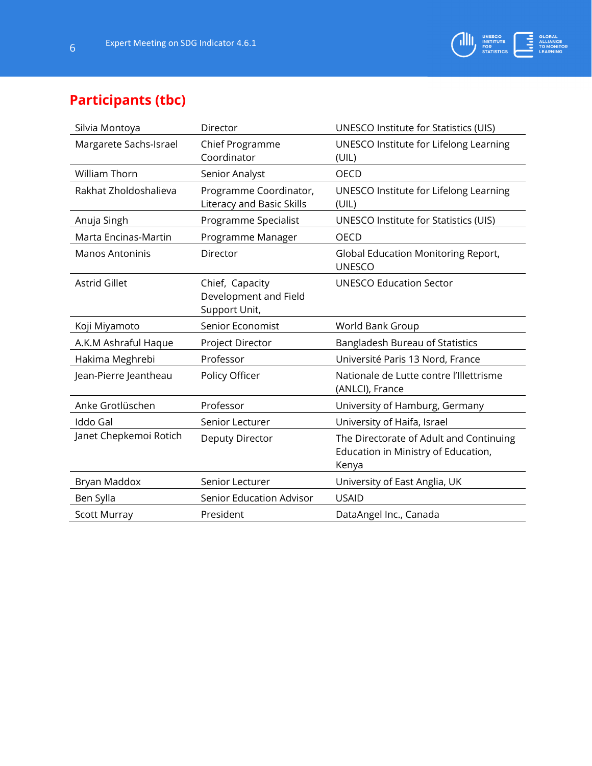

## **Participants (tbc)**

| Silvia Montoya         | Director                                                  | <b>UNESCO Institute for Statistics (UIS)</b>                                            |
|------------------------|-----------------------------------------------------------|-----------------------------------------------------------------------------------------|
| Margarete Sachs-Israel | Chief Programme<br>Coordinator                            | UNESCO Institute for Lifelong Learning<br>(UIL)                                         |
| <b>William Thorn</b>   | Senior Analyst                                            | <b>OECD</b>                                                                             |
| Rakhat Zholdoshalieva  | Programme Coordinator,<br>Literacy and Basic Skills       | UNESCO Institute for Lifelong Learning<br>(UIL)                                         |
| Anuja Singh            | Programme Specialist                                      | UNESCO Institute for Statistics (UIS)                                                   |
| Marta Encinas-Martin   | Programme Manager                                         | OECD                                                                                    |
| <b>Manos Antoninis</b> | Director                                                  | <b>Global Education Monitoring Report,</b><br><b>UNESCO</b>                             |
| <b>Astrid Gillet</b>   | Chief, Capacity<br>Development and Field<br>Support Unit, | <b>UNESCO Education Sector</b>                                                          |
| Koji Miyamoto          | Senior Economist                                          | World Bank Group                                                                        |
| A.K.M Ashraful Haque   | Project Director                                          | Bangladesh Bureau of Statistics                                                         |
| Hakima Meghrebi        | Professor                                                 | Université Paris 13 Nord, France                                                        |
| Jean-Pierre Jeantheau  | Policy Officer                                            | Nationale de Lutte contre l'Illettrisme<br>(ANLCI), France                              |
| Anke Grotlüschen       | Professor                                                 | University of Hamburg, Germany                                                          |
| <b>Iddo Gal</b>        | Senior Lecturer                                           | University of Haifa, Israel                                                             |
| Janet Chepkemoi Rotich | <b>Deputy Director</b>                                    | The Directorate of Adult and Continuing<br>Education in Ministry of Education,<br>Kenya |
| Bryan Maddox           | Senior Lecturer                                           | University of East Anglia, UK                                                           |
| Ben Sylla              | Senior Education Advisor                                  | <b>USAID</b>                                                                            |
| <b>Scott Murray</b>    | President                                                 | DataAngel Inc., Canada                                                                  |